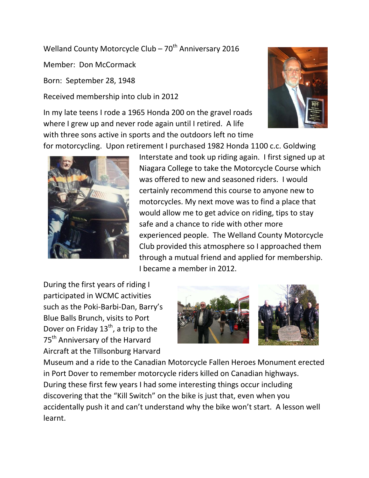Welland County Motorcycle Club –  $70^{th}$  Anniversary 2016

Member: Don McCormack

Born: September 28, 1948

Received membership into club in 2012

In my late teens I rode a 1965 Honda 200 on the gravel roads where I grew up and never rode again until I retired. A life with three sons active in sports and the outdoors left no time





Interstate and took up riding again. I first signed up at Niagara College to take the Motorcycle Course which was offered to new and seasoned riders. I would certainly recommend this course to anyone new to motorcycles. My next move was to find a place that would allow me to get advice on riding, tips to stay safe and a chance to ride with other more experienced people. The Welland County Motorcycle Club provided this atmosphere so I approached them through a mutual friend and applied for membership. I became a member in 2012.

During the first years of riding I participated in WCMC activities such as the Poki-Barbi-Dan, Barry's Blue Balls Brunch, visits to Port Dover on Friday  $13^{th}$ , a trip to the 75<sup>th</sup> Anniversary of the Harvard Aircraft at the Tillsonburg Harvard



Museum and a ride to the Canadian Motorcycle Fallen Heroes Monument erected in Port Dover to remember motorcycle riders killed on Canadian highways. During these first few years I had some interesting things occur including discovering that the "Kill Switch" on the bike is just that, even when you accidentally push it and can't understand why the bike won't start. A lesson well learnt.